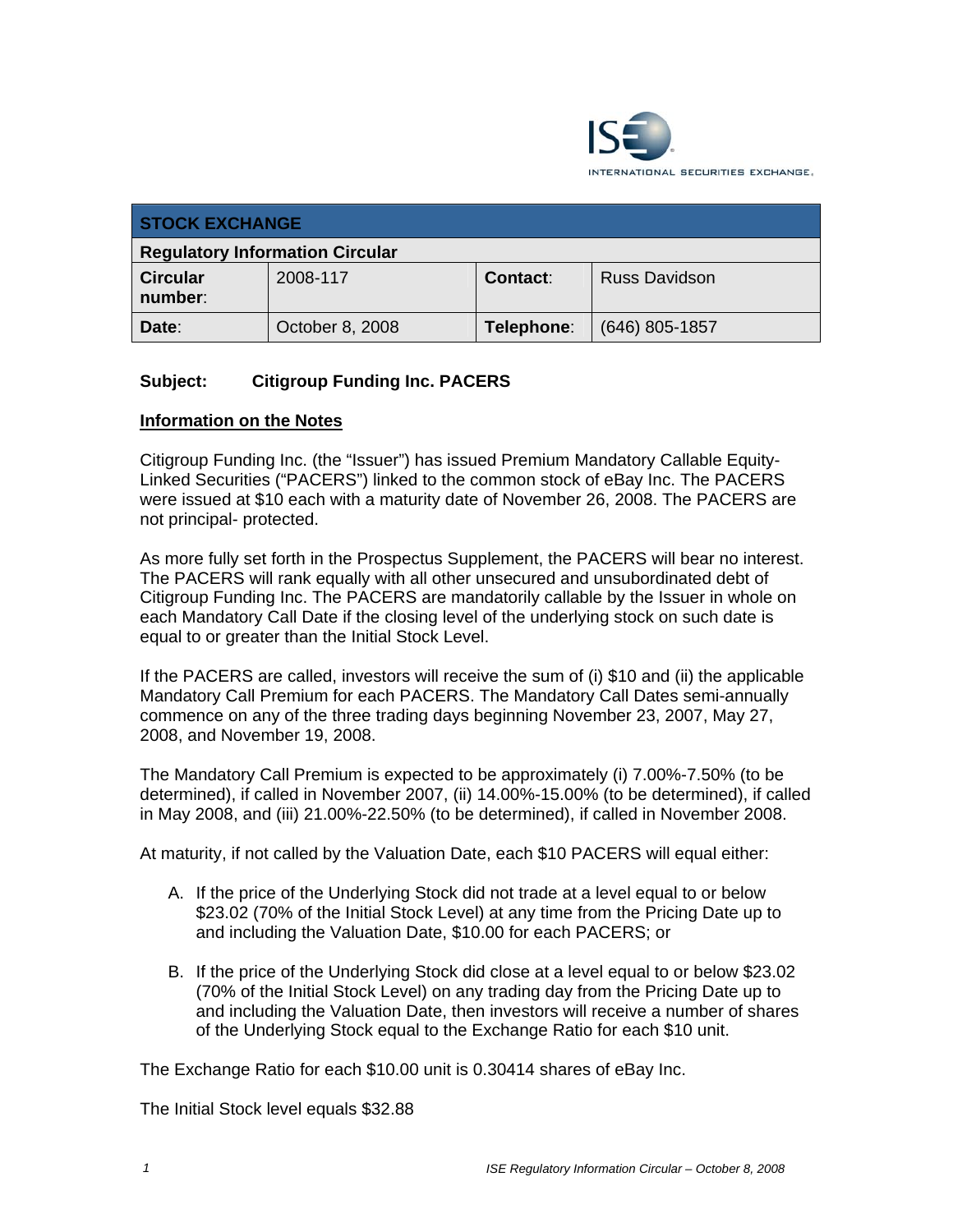

| <b>STOCK EXCHANGE</b>                  |                 |                 |                      |
|----------------------------------------|-----------------|-----------------|----------------------|
| <b>Regulatory Information Circular</b> |                 |                 |                      |
| <b>Circular</b><br>number:             | 2008-117        | <b>Contact:</b> | <b>Russ Davidson</b> |
| Date:                                  | October 8, 2008 | Telephone:      | $(646)$ 805-1857     |

## **Subject: Citigroup Funding Inc. PACERS**

#### **Information on the Notes**

Citigroup Funding Inc. (the "Issuer") has issued Premium Mandatory Callable Equity-Linked Securities ("PACERS") linked to the common stock of eBay Inc. The PACERS were issued at \$10 each with a maturity date of November 26, 2008. The PACERS are not principal- protected.

As more fully set forth in the Prospectus Supplement, the PACERS will bear no interest. The PACERS will rank equally with all other unsecured and unsubordinated debt of Citigroup Funding Inc. The PACERS are mandatorily callable by the Issuer in whole on each Mandatory Call Date if the closing level of the underlying stock on such date is equal to or greater than the Initial Stock Level.

If the PACERS are called, investors will receive the sum of (i) \$10 and (ii) the applicable Mandatory Call Premium for each PACERS. The Mandatory Call Dates semi-annually commence on any of the three trading days beginning November 23, 2007, May 27, 2008, and November 19, 2008.

The Mandatory Call Premium is expected to be approximately (i) 7.00%-7.50% (to be determined), if called in November 2007, (ii) 14.00%-15.00% (to be determined), if called in May 2008, and (iii) 21.00%-22.50% (to be determined), if called in November 2008.

At maturity, if not called by the Valuation Date, each \$10 PACERS will equal either:

- A. If the price of the Underlying Stock did not trade at a level equal to or below \$23.02 (70% of the Initial Stock Level) at any time from the Pricing Date up to and including the Valuation Date, \$10.00 for each PACERS; or
- B. If the price of the Underlying Stock did close at a level equal to or below \$23.02 (70% of the Initial Stock Level) on any trading day from the Pricing Date up to and including the Valuation Date, then investors will receive a number of shares of the Underlying Stock equal to the Exchange Ratio for each \$10 unit.

The Exchange Ratio for each \$10.00 unit is 0.30414 shares of eBay Inc.

The Initial Stock level equals \$32.88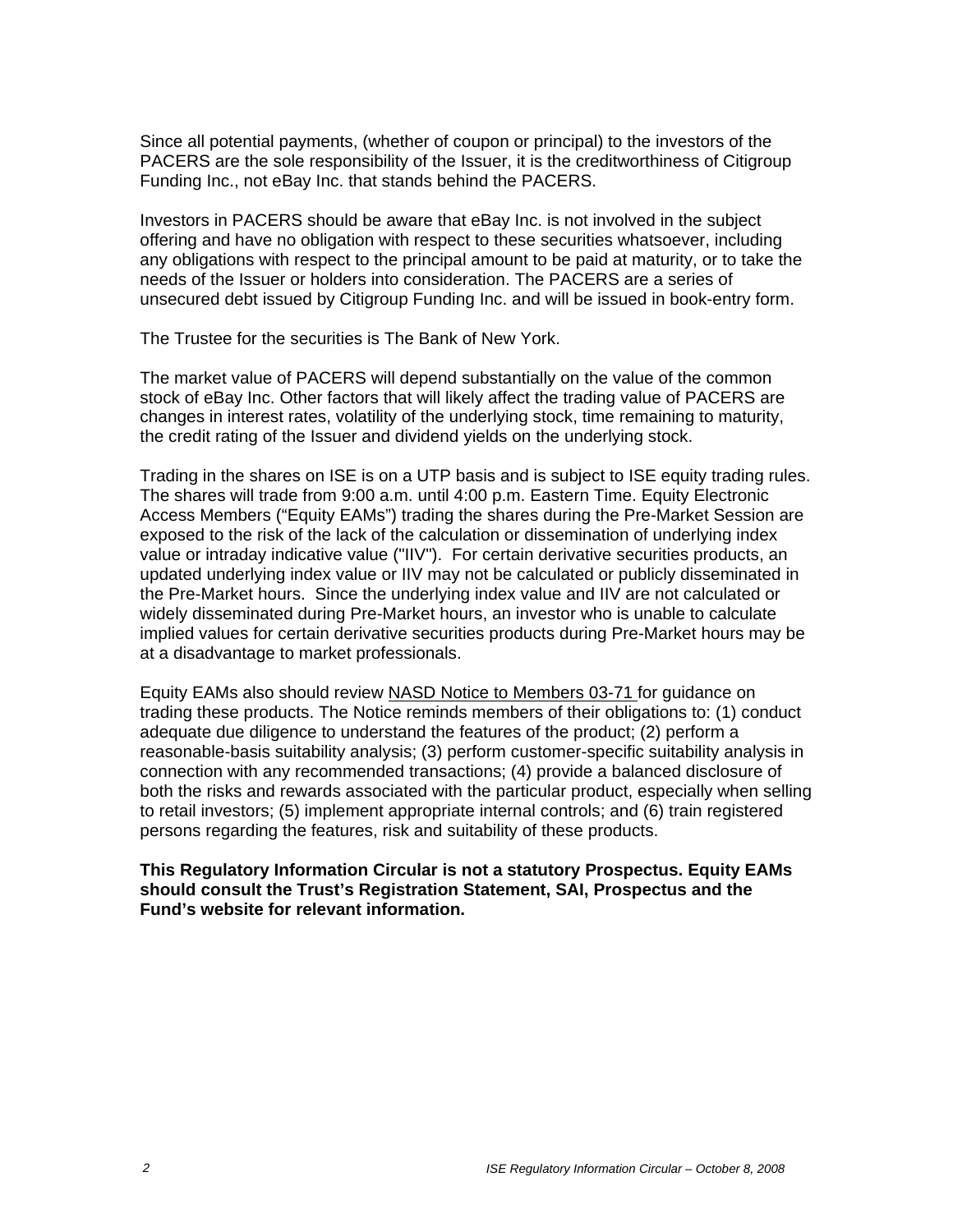Since all potential payments, (whether of coupon or principal) to the investors of the PACERS are the sole responsibility of the Issuer, it is the creditworthiness of Citigroup Funding Inc., not eBay Inc. that stands behind the PACERS.

Investors in PACERS should be aware that eBay Inc. is not involved in the subject offering and have no obligation with respect to these securities whatsoever, including any obligations with respect to the principal amount to be paid at maturity, or to take the needs of the Issuer or holders into consideration. The PACERS are a series of unsecured debt issued by Citigroup Funding Inc. and will be issued in book-entry form.

The Trustee for the securities is The Bank of New York.

The market value of PACERS will depend substantially on the value of the common stock of eBay Inc. Other factors that will likely affect the trading value of PACERS are changes in interest rates, volatility of the underlying stock, time remaining to maturity, the credit rating of the Issuer and dividend yields on the underlying stock.

Trading in the shares on ISE is on a UTP basis and is subject to ISE equity trading rules. The shares will trade from 9:00 a.m. until 4:00 p.m. Eastern Time. Equity Electronic Access Members ("Equity EAMs") trading the shares during the Pre-Market Session are exposed to the risk of the lack of the calculation or dissemination of underlying index value or intraday indicative value ("IIV"). For certain derivative securities products, an updated underlying index value or IIV may not be calculated or publicly disseminated in the Pre-Market hours. Since the underlying index value and IIV are not calculated or widely disseminated during Pre-Market hours, an investor who is unable to calculate implied values for certain derivative securities products during Pre-Market hours may be at a disadvantage to market professionals.

Equity EAMs also should review NASD Notice to Members 03-71 for guidance on trading these products. The Notice reminds members of their obligations to: (1) conduct adequate due diligence to understand the features of the product; (2) perform a reasonable-basis suitability analysis; (3) perform customer-specific suitability analysis in connection with any recommended transactions; (4) provide a balanced disclosure of both the risks and rewards associated with the particular product, especially when selling to retail investors; (5) implement appropriate internal controls; and (6) train registered persons regarding the features, risk and suitability of these products.

#### **This Regulatory Information Circular is not a statutory Prospectus. Equity EAMs should consult the Trust's Registration Statement, SAI, Prospectus and the Fund's website for relevant information.**